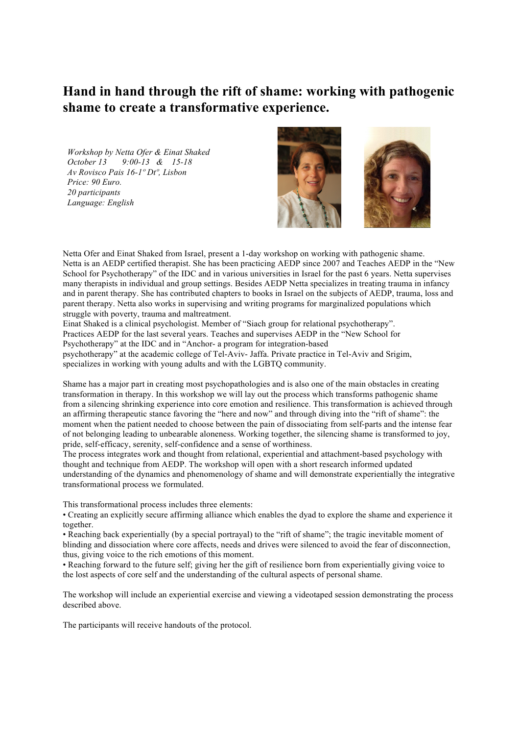## **Hand in hand through the rift of shame: working with pathogenic shame to create a transformative experience.**

*Workshop by Netta Ofer & Einat Shaked October 13 9:00-13 & 15-18 Av Rovisco Pais 16-1º Dtº, Lisbon Price: 90 Euro. 20 participants Language: English*



Netta Ofer and Einat Shaked from Israel, present a 1-day workshop on working with pathogenic shame. Netta is an AEDP certified therapist. She has been practicing AEDP since 2007 and Teaches AEDP in the "New School for Psychotherapy" of the IDC and in various universities in Israel for the past 6 years. Netta supervises many therapists in individual and group settings. Besides AEDP Netta specializes in treating trauma in infancy and in parent therapy. She has contributed chapters to books in Israel on the subjects of AEDP, trauma, loss and parent therapy. Netta also works in supervising and writing programs for marginalized populations which struggle with poverty, trauma and maltreatment.

Einat Shaked is a clinical psychologist. Member of "Siach group for relational psychotherapy". Practices AEDP for the last several years. Teaches and supervises AEDP in the "New School for Psychotherapy" at the IDC and in "Anchor- a program for integration-based

psychotherapy" at the academic college of Tel-Aviv- Jaffa. Private practice in Tel-Aviv and Srigim, specializes in working with young adults and with the LGBTQ community.

Shame has a major part in creating most psychopathologies and is also one of the main obstacles in creating transformation in therapy. In this workshop we will lay out the process which transforms pathogenic shame from a silencing shrinking experience into core emotion and resilience. This transformation is achieved through an affirming therapeutic stance favoring the "here and now" and through diving into the "rift of shame": the moment when the patient needed to choose between the pain of dissociating from self-parts and the intense fear of not belonging leading to unbearable aloneness. Working together, the silencing shame is transformed to joy, pride, self-efficacy, serenity, self-confidence and a sense of worthiness.

The process integrates work and thought from relational, experiential and attachment-based psychology with thought and technique from AEDP. The workshop will open with a short research informed updated understanding of the dynamics and phenomenology of shame and will demonstrate experientially the integrative transformational process we formulated.

This transformational process includes three elements:

• Creating an explicitly secure affirming alliance which enables the dyad to explore the shame and experience it together.

• Reaching back experientially (by a special portrayal) to the "rift of shame"; the tragic inevitable moment of blinding and dissociation where core affects, needs and drives were silenced to avoid the fear of disconnection, thus, giving voice to the rich emotions of this moment.

• Reaching forward to the future self; giving her the gift of resilience born from experientially giving voice to the lost aspects of core self and the understanding of the cultural aspects of personal shame.

The workshop will include an experiential exercise and viewing a videotaped session demonstrating the process described above.

The participants will receive handouts of the protocol.